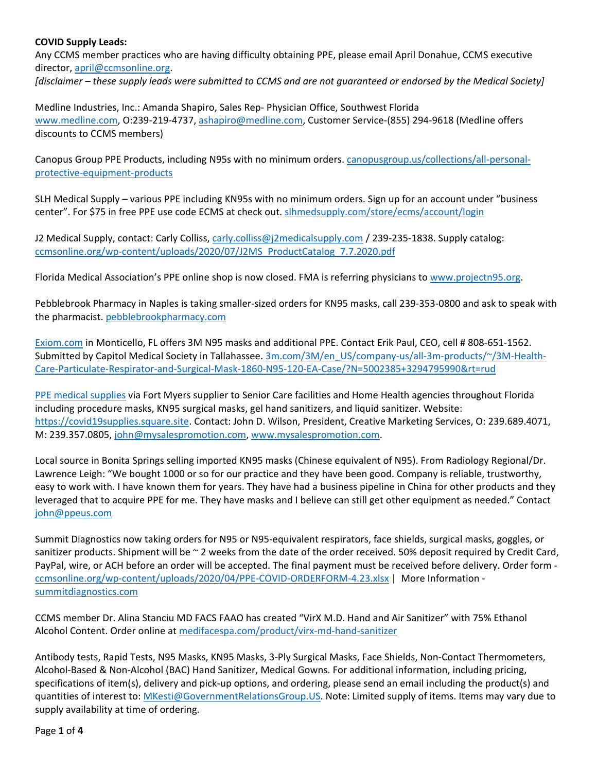## **COVID Supply Leads:**

Any CCMS member practices who are having difficulty obtaining PPE, please email April Donahue, CCMS executive director, april@ccmsonline.org.

[disclaimer – these supply leads were submitted to CCMS and are not quaranteed or endorsed by the Medical Society]

Medline Industries, Inc.: Amanda Shapiro, Sales Rep‐ Physician Office, Southwest Florida www.medline.com, O:239‐219‐4737, ashapiro@medline.com, Customer Service‐(855) 294‐9618 (Medline offers discounts to CCMS members)

Canopus Group PPE Products, including N95s with no minimum orders. canopusgroup.us/collections/all‐personal‐ protective‐equipment‐products

SLH Medical Supply – various PPE including KN95s with no minimum orders. Sign up for an account under "business center". For \$75 in free PPE use code ECMS at check out. slhmedsupply.com/store/ecms/account/login

J2 Medical Supply, contact: Carly Colliss, carly.colliss@j2medicalsupply.com / 239-235-1838. Supply catalog: ccmsonline.org/wp-content/uploads/2020/07/J2MS\_ProductCatalog\_7.7.2020.pdf

Florida Medical Association's PPE online shop is now closed. FMA is referring physicians to www.projectn95.org.

Pebblebrook Pharmacy in Naples is taking smaller‐sized orders for KN95 masks, call 239‐353‐0800 and ask to speak with the pharmacist. pebblebrookpharmacy.com

Exiom.com in Monticello, FL offers 3M N95 masks and additional PPE. Contact Erik Paul, CEO, cell # 808‐651‐1562. Submitted by Capitol Medical Society in Tallahassee. 3m.com/3M/en\_US/company-us/all-3m-products/~/3M-Health-Care‐Particulate‐Respirator‐and‐Surgical‐Mask‐1860‐N95‐120‐EA‐Case/?N=5002385+3294795990&rt=rud

PPE medical supplies via Fort Myers supplier to Senior Care facilities and Home Health agencies throughout Florida including procedure masks, KN95 surgical masks, gel hand sanitizers, and liquid sanitizer. Website: https://covid19supplies.square.site. Contact: John D. Wilson, President, Creative Marketing Services, O: 239.689.4071, M: 239.357.0805, john@mysalespromotion.com, www.mysalespromotion.com.

Local source in Bonita Springs selling imported KN95 masks (Chinese equivalent of N95). From Radiology Regional/Dr. Lawrence Leigh: "We bought 1000 or so for our practice and they have been good. Company is reliable, trustworthy, easy to work with. I have known them for years. They have had a business pipeline in China for other products and they leveraged that to acquire PPE for me. They have masks and I believe can still get other equipment as needed." Contact john@ppeus.com

Summit Diagnostics now taking orders for N95 or N95‐equivalent respirators, face shields, surgical masks, goggles, or sanitizer products. Shipment will be ~ 2 weeks from the date of the order received. 50% deposit required by Credit Card, PayPal, wire, or ACH before an order will be accepted. The final payment must be received before delivery. Order form ‐ ccmsonline.org/wp-content/uploads/2020/04/PPE-COVID-ORDERFORM-4.23.xlsx | More Information summitdiagnostics.com

CCMS member Dr. Alina Stanciu MD FACS FAAO has created "VirX M.D. Hand and Air Sanitizer" with 75% Ethanol Alcohol Content. Order online at medifacespa.com/product/virx‐md‐hand‐sanitizer

Antibody tests, Rapid Tests, N95 Masks, KN95 Masks, 3‐Ply Surgical Masks, Face Shields, Non‐Contact Thermometers, Alcohol‐Based & Non‐Alcohol (BAC) Hand Sanitizer, Medical Gowns. For additional information, including pricing, specifications of item(s), delivery and pick-up options, and ordering, please send an email including the product(s) and quantities of interest to: MKesti@GovernmentRelationsGroup.US. Note: Limited supply of items. Items may vary due to supply availability at time of ordering.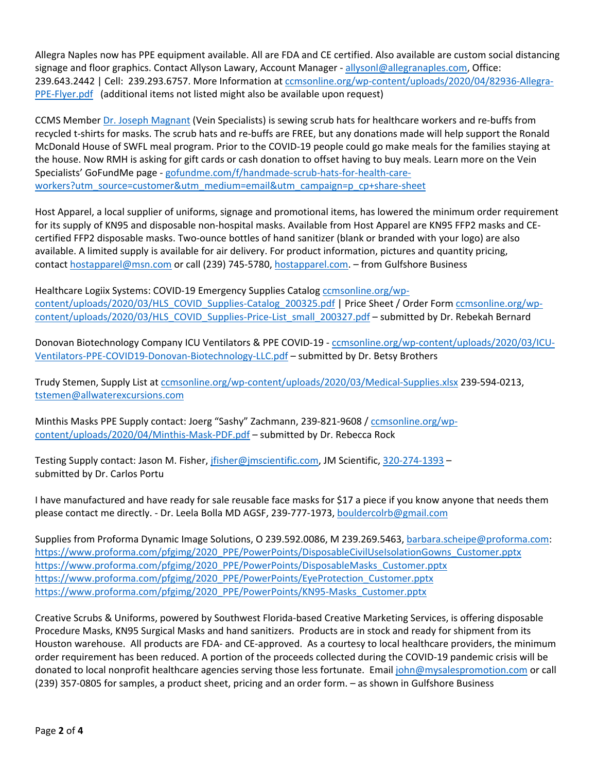Allegra Naples now has PPE equipment available. All are FDA and CE certified. Also available are custom social distancing signage and floor graphics. Contact Allyson Lawary, Account Manager - allysonl@allegranaples.com, Office: 239.643.2442 | Cell: 239.293.6757. More Information at ccmsonline.org/wp-content/uploads/2020/04/82936-Allegra-PPE‐Flyer.pdf (additional items not listed might also be available upon request)

CCMS Member Dr. Joseph Magnant (Vein Specialists) is sewing scrub hats for healthcare workers and re‐buffs from recycled t‐shirts for masks. The scrub hats and re‐buffs are FREE, but any donations made will help support the Ronald McDonald House of SWFL meal program. Prior to the COVID‐19 people could go make meals for the families staying at the house. Now RMH is asking for gift cards or cash donation to offset having to buy meals. Learn more on the Vein Specialists' GoFundMe page ‐ gofundme.com/f/handmade‐scrub‐hats‐for‐health‐care‐ workers?utm\_source=customer&utm\_medium=email&utm\_campaign=p\_cp+share-sheet

Host Apparel, a local supplier of uniforms, signage and promotional items, has lowered the minimum order requirement for its supply of KN95 and disposable non-hospital masks. Available from Host Apparel are KN95 FFP2 masks and CEcertified FFP2 disposable masks. Two‐ounce bottles of hand sanitizer (blank or branded with your logo) are also available. A limited supply is available for air delivery. For product information, pictures and quantity pricing, contact hostapparel@msn.com or call (239) 745‐5780, hostapparel.com. – from Gulfshore Business

Healthcare Logiix Systems: COVID-19 Emergency Supplies Catalog ccmsonline.org/wpcontent/uploads/2020/03/HLS\_COVID\_Supplies-Catalog\_200325.pdf | Price Sheet / Order Form ccmsonline.org/wpcontent/uploads/2020/03/HLS\_COVID\_Supplies-Price-List\_small\_200327.pdf – submitted by Dr. Rebekah Bernard

Donovan Biotechnology Company ICU Ventilators & PPE COVID-19 - ccmsonline.org/wp-content/uploads/2020/03/ICU-Ventilators‐PPE‐COVID19‐Donovan‐Biotechnology‐LLC.pdf – submitted by Dr. Betsy Brothers

Trudy Stemen, Supply List at ccmsonline.org/wp‐content/uploads/2020/03/Medical‐Supplies.xlsx 239‐594‐0213, tstemen@allwaterexcursions.com

Minthis Masks PPE Supply contact: Joerg "Sashy" Zachmann, 239-821-9608 / ccmsonline.org/wpcontent/uploads/2020/04/Minthis‐Mask‐PDF.pdf – submitted by Dr. Rebecca Rock

Testing Supply contact: Jason M. Fisher, jfisher@jmscientific.com, JM Scientific, 320-274-1393 – submitted by Dr. Carlos Portu

I have manufactured and have ready for sale reusable face masks for \$17 a piece if you know anyone that needs them please contact me directly. ‐ Dr. Leela Bolla MD AGSF, 239‐777‐1973, bouldercolrb@gmail.com

Supplies from Proforma Dynamic Image Solutions, O 239.592.0086, M 239.269.5463, barbara.scheipe@proforma.com: https://www.proforma.com/pfgimg/2020\_PPE/PowerPoints/DisposableCivilUseIsolationGowns\_Customer.pptx https://www.proforma.com/pfgimg/2020\_PPE/PowerPoints/DisposableMasks\_Customer.pptx https://www.proforma.com/pfgimg/2020\_PPE/PowerPoints/EyeProtection\_Customer.pptx https://www.proforma.com/pfgimg/2020\_PPE/PowerPoints/KN95-Masks\_Customer.pptx

Creative Scrubs & Uniforms, powered by Southwest Florida‐based Creative Marketing Services, is offering disposable Procedure Masks, KN95 Surgical Masks and hand sanitizers. Products are in stock and ready for shipment from its Houston warehouse. All products are FDA‐ and CE‐approved. As a courtesy to local healthcare providers, the minimum order requirement has been reduced. A portion of the proceeds collected during the COVID‐19 pandemic crisis will be donated to local nonprofit healthcare agencies serving those less fortunate. Email john@mysalespromotion.com or call (239) 357‐0805 for samples, a product sheet, pricing and an order form. – as shown in Gulfshore Business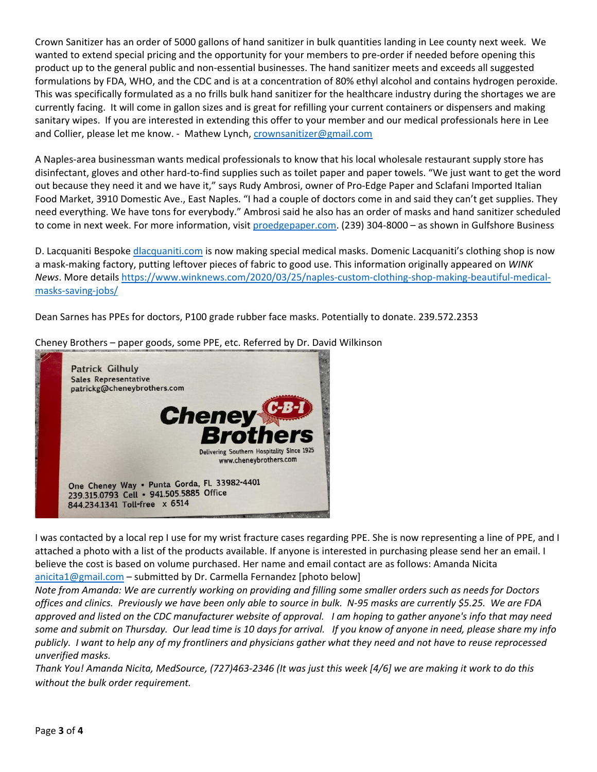Crown Sanitizer has an order of 5000 gallons of hand sanitizer in bulk quantities landing in Lee county next week. We wanted to extend special pricing and the opportunity for your members to pre-order if needed before opening this product up to the general public and non‐essential businesses. The hand sanitizer meets and exceeds all suggested formulations by FDA, WHO, and the CDC and is at a concentration of 80% ethyl alcohol and contains hydrogen peroxide. This was specifically formulated as a no frills bulk hand sanitizer for the healthcare industry during the shortages we are currently facing. It will come in gallon sizes and is great for refilling your current containers or dispensers and making sanitary wipes. If you are interested in extending this offer to your member and our medical professionals here in Lee and Collier, please let me know. - Mathew Lynch, crownsanitizer@gmail.com

A Naples‐area businessman wants medical professionals to know that his local wholesale restaurant supply store has disinfectant, gloves and other hard‐to‐find supplies such as toilet paper and paper towels. "We just want to get the word out because they need it and we have it," says Rudy Ambrosi, owner of Pro‐Edge Paper and Sclafani Imported Italian Food Market, 3910 Domestic Ave., East Naples. "I had a couple of doctors come in and said they can't get supplies. They need everything. We have tons for everybody." Ambrosi said he also has an order of masks and hand sanitizer scheduled to come in next week. For more information, visit proedgepaper.com. (239) 304-8000 – as shown in Gulfshore Business

D. Lacquaniti Bespoke dlacquaniti.com is now making special medical masks. Domenic Lacquaniti's clothing shop is now a mask‐making factory, putting leftover pieces of fabric to good use. This information originally appeared on *WINK News*. More details https://www.winknews.com/2020/03/25/naples‐custom‐clothing‐shop‐making‐beautiful‐medical‐ masks‐saving‐jobs/

Dean Sarnes has PPEs for doctors, P100 grade rubber face masks. Potentially to donate. 239.572.2353



Cheney Brothers – paper goods, some PPE, etc. Referred by Dr. David Wilkinson

I was contacted by a local rep I use for my wrist fracture cases regarding PPE. She is now representing a line of PPE, and I attached a photo with a list of the products available. If anyone is interested in purchasing please send her an email. I believe the cost is based on volume purchased. Her name and email contact are as follows: Amanda Nicita anicita1@gmail.com – submitted by Dr. Carmella Fernandez [photo below]

Note from Amanda: We are currently working on providing and filling some smaller orders such as needs for Doctors offices and clinics. Previously we have been only able to source in bulk. N-95 masks are currently \$5.25. We are FDA approved and listed on the CDC manufacturer website of approval. I am hoping to gather anyone's info that may need some and submit on Thursday. Our lead time is 10 days for arrival. If you know of anyone in need, please share my info publicly. I want to help any of my frontliners and physicians gather what they need and not have to reuse reprocessed *unverified masks.* 

Thank You! Amanda Nicita, MedSource, (727)463-2346 (It was just this week [4/6] we are making it work to do this *without the bulk order requirement.*